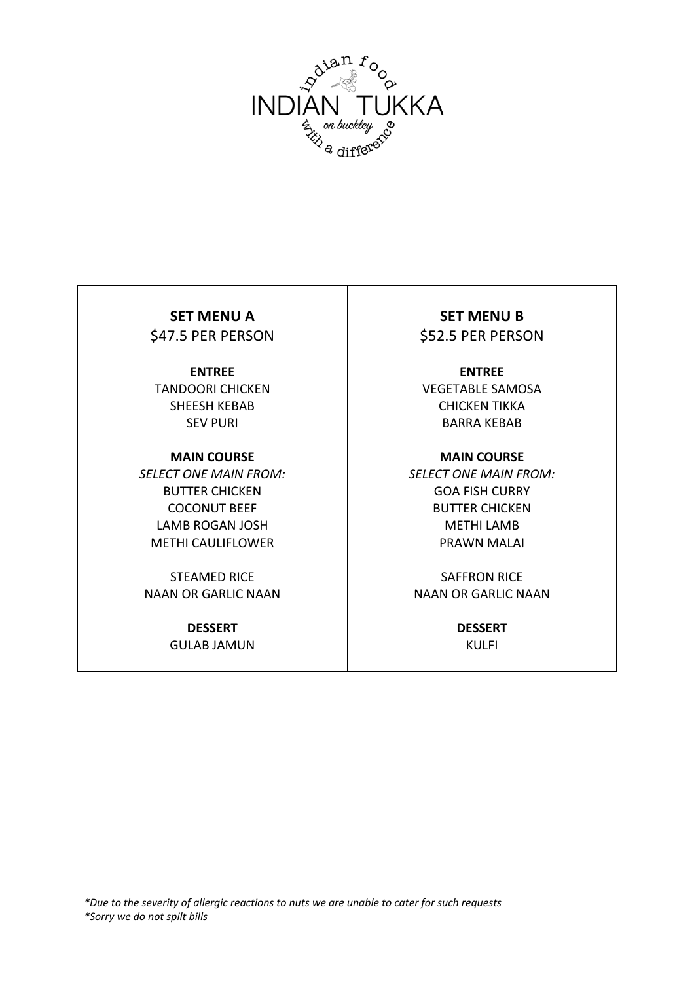

## **ENTREE** TANDOORI CHICKEN SHEESH KEBAB SEV PURI

**MAIN COURSE** *SELECT ONE MAIN FROM:* BUTTER CHICKEN COCONUT BEEF LAMB ROGAN JOSH METHI CAULIFLOWER

STEAMED RICE NAAN OR GARLIC NAAN

> **DESSERT** GULAB JAMUN

**SET MENU A** SET MENU B \$47.5 PER PERSON | \$52.5 PER PERSON

> **ENTREE** VEGETABLE SAMOSA CHICKEN TIKKA BARRA KEBAB

**MAIN COURSE** *SELECT ONE MAIN FROM:* GOA FISH CURRY BUTTER CHICKEN METHI LAMB PRAWN MALAI

SAFFRON RICE NAAN OR GARLIC NAAN

> **DESSERT** KULFI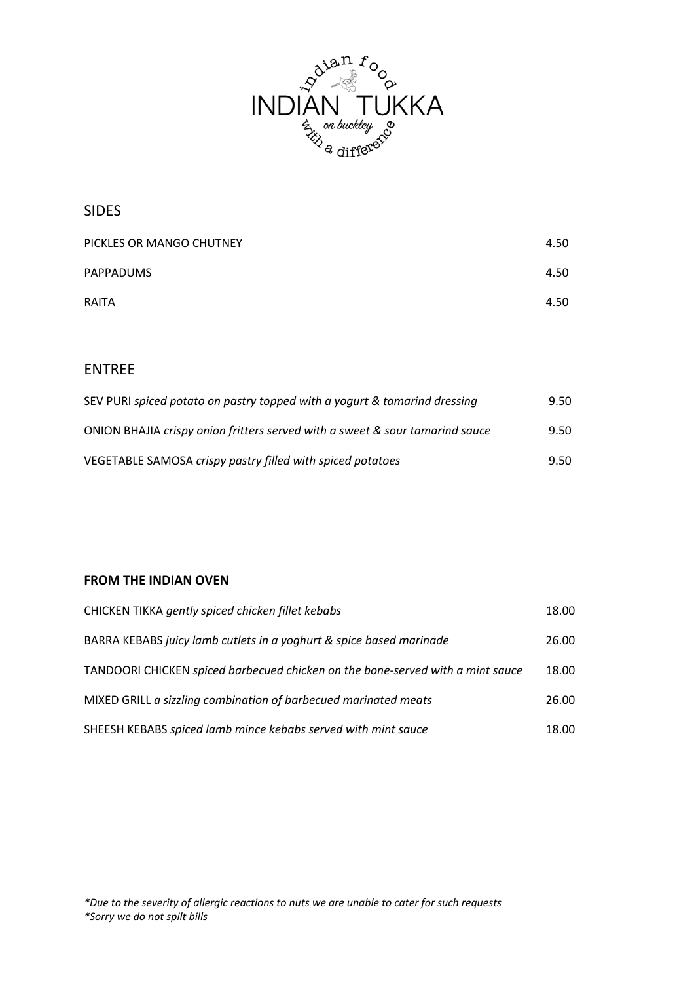

SIDES

| PICKLES OR MANGO CHUTNEY | 4.50 |
|--------------------------|------|
| <b>PAPPADUMS</b>         | 4.50 |
| <b>RAITA</b>             | 4.50 |

# ENTREE

| SEV PURI spiced potato on pastry topped with a yogurt & tamarind dressing    | 9.50 |
|------------------------------------------------------------------------------|------|
| ONION BHAJIA crispy onion fritters served with a sweet & sour tamarind sauce | 9.50 |
| VEGETABLE SAMOSA crispy pastry filled with spiced potatoes                   | 9.50 |

### **FROM THE INDIAN OVEN**

| CHICKEN TIKKA gently spiced chicken fillet kebabs                              | 18.00 |
|--------------------------------------------------------------------------------|-------|
| BARRA KEBABS juicy lamb cutlets in a yoghurt & spice based marinade            | 26.00 |
| TANDOORI CHICKEN spiced barbecued chicken on the bone-served with a mint sauce | 18.00 |
| MIXED GRILL a sizzling combination of barbecued marinated meats                | 26.00 |
| SHEESH KEBABS spiced lamb mince kebabs served with mint sauce                  | 18.00 |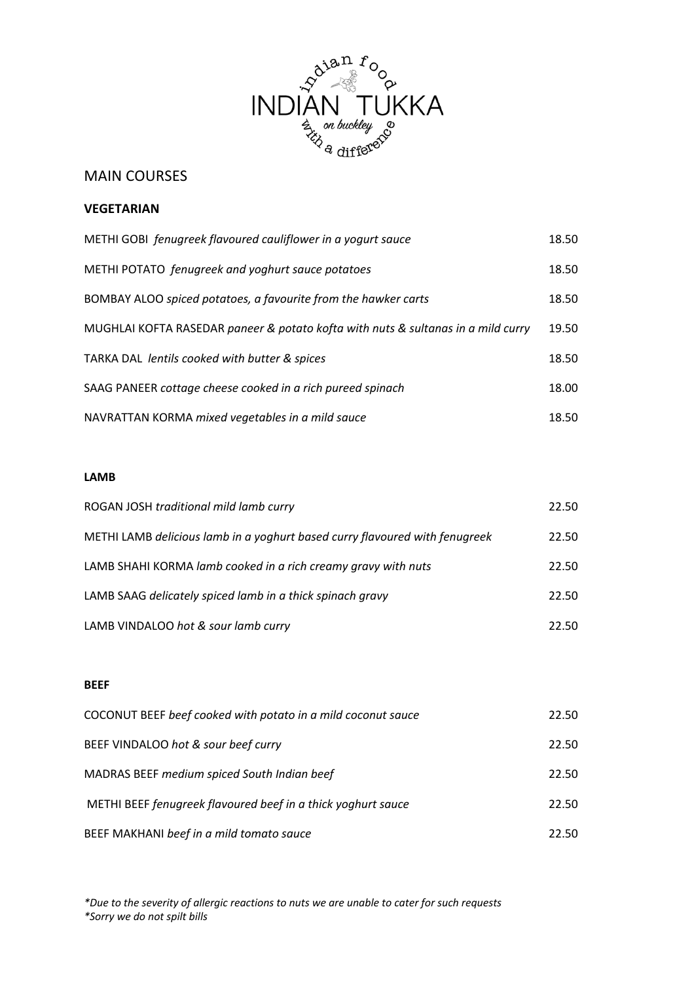

## MAIN COURSES

### **VEGETARIAN**

| METHI GOBI fenugreek flavoured cauliflower in a yogurt sauce                     | 18.50 |
|----------------------------------------------------------------------------------|-------|
| METHI POTATO fenugreek and yoghurt sauce potatoes                                | 18.50 |
| BOMBAY ALOO spiced potatoes, a favourite from the hawker carts                   | 18.50 |
| MUGHLAI KOFTA RASEDAR paneer & potato kofta with nuts & sultanas in a mild curry | 19.50 |
| TARKA DAL lentils cooked with butter & spices                                    | 18.50 |
| SAAG PANEER cottage cheese cooked in a rich pureed spinach                       | 18.00 |
| NAVRATTAN KORMA mixed vegetables in a mild sauce                                 | 18.50 |

#### **LAMB**

| ROGAN JOSH traditional mild lamb curry                                      | 22.50 |
|-----------------------------------------------------------------------------|-------|
| METHI LAMB delicious lamb in a yoghurt based curry flavoured with fenugreek | 22.50 |
| LAMB SHAHI KORMA lamb cooked in a rich creamy gravy with nuts               | 22.50 |
| LAMB SAAG delicately spiced lamb in a thick spinach gravy                   | 22.50 |
| LAMB VINDALOO hot & sour lamb curry                                         | 22.50 |

#### **BEEF**

| COCONUT BEEF beef cooked with potato in a mild coconut sauce | 22.50 |
|--------------------------------------------------------------|-------|
| BEEF VINDALOO hot & sour beef curry                          | 22.50 |
| MADRAS BEEF medium spiced South Indian beef                  | 22.50 |
| METHI BEEF fenugreek flavoured beef in a thick yoghurt sauce | 22.50 |
| BEEF MAKHANI beef in a mild tomato sauce                     | 22.50 |

*\*Due to the severity of allergic reactions to nuts we are unable to cater for such requests \*Sorry we do not spilt bills*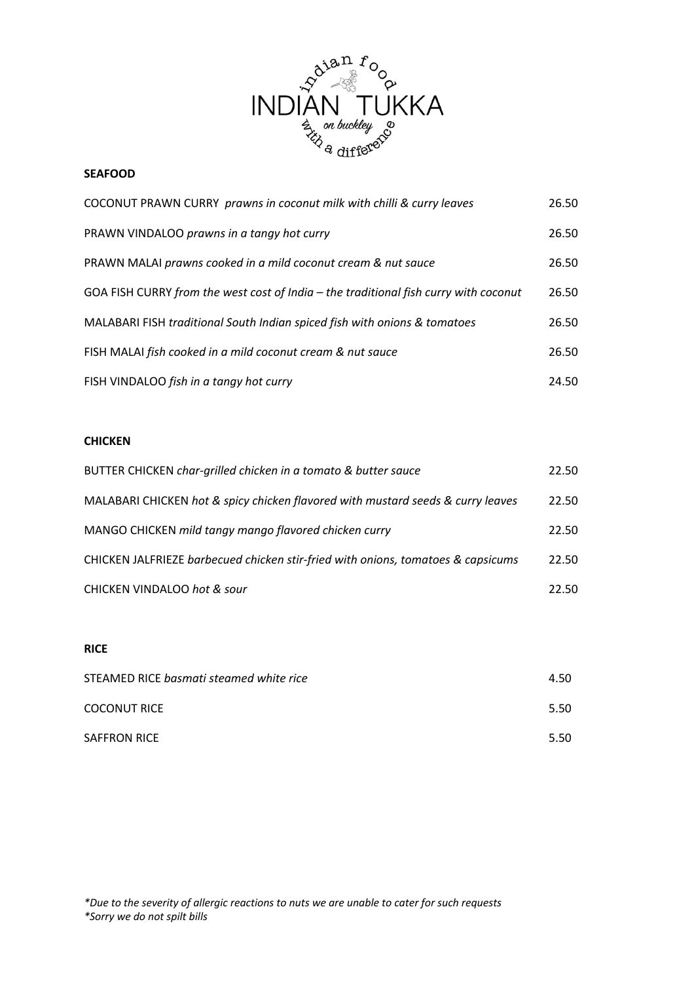

#### **SEAFOOD**

| COCONUT PRAWN CURRY prawns in coconut milk with chilli & curry leaves                | 26.50 |
|--------------------------------------------------------------------------------------|-------|
| PRAWN VINDALOO prawns in a tangy hot curry                                           | 26.50 |
| PRAWN MALAI prawns cooked in a mild coconut cream & nut sauce                        | 26.50 |
| GOA FISH CURRY from the west cost of India - the traditional fish curry with coconut | 26.50 |
| MALABARI FISH traditional South Indian spiced fish with onions & tomatoes            | 26.50 |
| FISH MALAI fish cooked in a mild coconut cream & nut sauce                           | 26.50 |
| FISH VINDALOO fish in a tangy hot curry                                              | 24.50 |

### **CHICKEN**

| BUTTER CHICKEN char-grilled chicken in a tomato & butter sauce                   | 22.50 |
|----------------------------------------------------------------------------------|-------|
| MALABARI CHICKEN hot & spicy chicken flavored with mustard seeds & curry leaves  | 22.50 |
| MANGO CHICKEN mild tangy mango flavored chicken curry                            | 22.50 |
| CHICKEN JALFRIEZE barbecued chicken stir-fried with onions, tomatoes & capsicums | 22.50 |
| <b>CHICKEN VINDALOO hot &amp; sour</b>                                           | 22.50 |

#### **RICE**

| STEAMED RICE basmati steamed white rice | 4.50 |
|-----------------------------------------|------|
| <b>COCONUT RICE</b>                     | 5.50 |
| <b>SAFFRON RICE</b>                     | 5.50 |